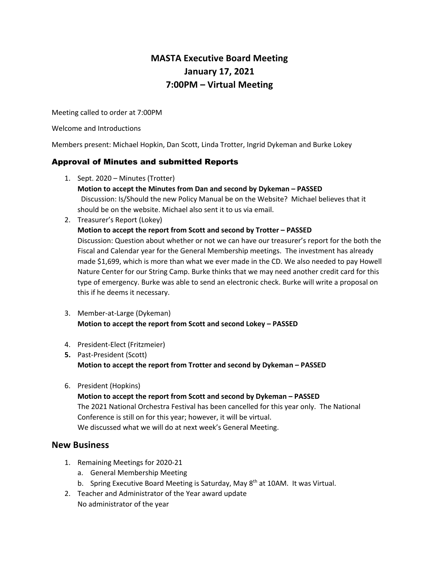# **MASTA Executive Board Meeting January 17, 2021 7:00PM – Virtual Meeting**

Meeting called to order at 7:00PM

Welcome and Introductions

Members present: Michael Hopkin, Dan Scott, Linda Trotter, Ingrid Dykeman and Burke Lokey

# Approval of Minutes and submitted Reports

- 1. Sept. 2020 Minutes (Trotter)
	- **Motion to accept the Minutes from Dan and second by Dykeman – PASSED** Discussion: Is/Should the new Policy Manual be on the Website? Michael believes that it should be on the website. Michael also sent it to us via email.
- 2. Treasurer's Report (Lokey)

#### **Motion to accept the report from Scott and second by Trotter – PASSED**

Discussion: Question about whether or not we can have our treasurer's report for the both the Fiscal and Calendar year for the General Membership meetings. The investment has already made \$1,699, which is more than what we ever made in the CD. We also needed to pay Howell Nature Center for our String Camp. Burke thinks that we may need another credit card for this type of emergency. Burke was able to send an electronic check. Burke will write a proposal on this if he deems it necessary.

- 3. Member-at-Large (Dykeman) **Motion to accept the report from Scott and second Lokey – PASSED**
- 4. President-Elect (Fritzmeier)
- **5.** Past-President (Scott) **Motion to accept the report from Trotter and second by Dykeman – PASSED**
- 6. President (Hopkins)

# **Motion to accept the report from Scott and second by Dykeman – PASSED** The 2021 National Orchestra Festival has been cancelled for this year only. The National Conference is still on for this year; however, it will be virtual. We discussed what we will do at next week's General Meeting.

# **New Business**

- 1. Remaining Meetings for 2020-21
	- a. General Membership Meeting
	- b. Spring Executive Board Meeting is Saturday, May 8<sup>th</sup> at 10AM. It was Virtual.
- 2. Teacher and Administrator of the Year award update No administrator of the year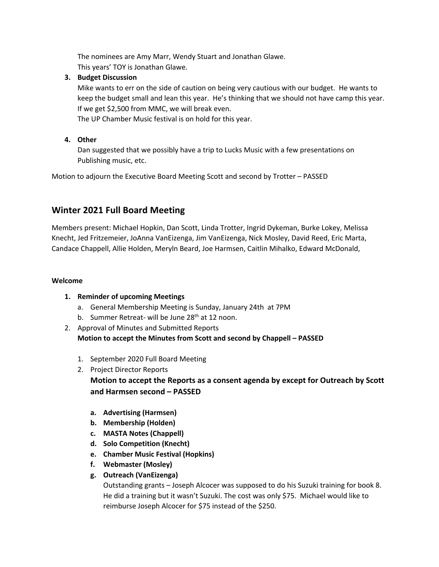The nominees are Amy Marr, Wendy Stuart and Jonathan Glawe. This years' TOY is Jonathan Glawe.

### **3. Budget Discussion**

Mike wants to err on the side of caution on being very cautious with our budget. He wants to keep the budget small and lean this year. He's thinking that we should not have camp this year. If we get \$2,500 from MMC, we will break even.

The UP Chamber Music festival is on hold for this year.

## **4. Other**

Dan suggested that we possibly have a trip to Lucks Music with a few presentations on Publishing music, etc.

Motion to adjourn the Executive Board Meeting Scott and second by Trotter – PASSED

# **Winter 2021 Full Board Meeting**

Members present: Michael Hopkin, Dan Scott, Linda Trotter, Ingrid Dykeman, Burke Lokey, Melissa Knecht, Jed Fritzemeier, JoAnna VanEizenga, Jim VanEizenga, Nick Mosley, David Reed, Eric Marta, Candace Chappell, Allie Holden, Meryln Beard, Joe Harmsen, Caitlin Mihalko, Edward McDonald,

#### **Welcome**

- **1. Reminder of upcoming Meetings**
	- a. General Membership Meeting is Sunday, January 24th at 7PM
	- b. Summer Retreat- will be June  $28<sup>th</sup>$  at 12 noon.
- 2. Approval of Minutes and Submitted Reports **Motion to accept the Minutes from Scott and second by Chappell – PASSED**
	- 1. September 2020 Full Board Meeting
	- 2. Project Director Reports **Motion to accept the Reports as a consent agenda by except for Outreach by Scott and Harmsen second – PASSED**
		- **a. Advertising (Harmsen)**
		- **b. Membership (Holden)**
		- **c. MASTA Notes (Chappell)**
		- **d. Solo Competition (Knecht)**
		- **e. Chamber Music Festival (Hopkins)**
		- **f. Webmaster (Mosley)**
		- **g. Outreach (VanEizenga)**

Outstanding grants – Joseph Alcocer was supposed to do his Suzuki training for book 8. He did a training but it wasn't Suzuki. The cost was only \$75. Michael would like to reimburse Joseph Alcocer for \$75 instead of the \$250.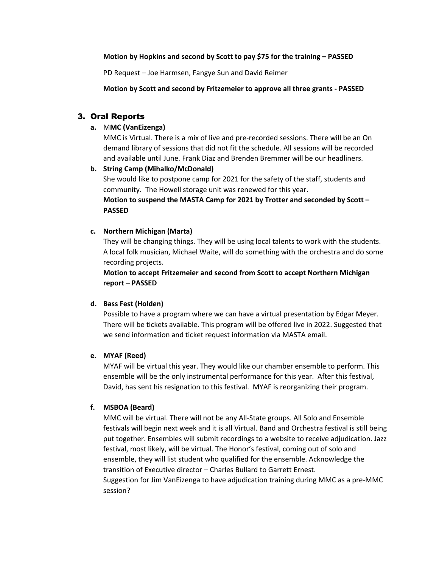#### **Motion by Hopkins and second by Scott to pay \$75 for the training – PASSED**

PD Request – Joe Harmsen, Fangye Sun and David Reimer

**Motion by Scott and second by Fritzemeier to approve all three grants - PASSED**

# 3. Oral Reports

#### **a.** M**MC (VanEizenga)**

MMC is Virtual. There is a mix of live and pre-recorded sessions. There will be an On demand library of sessions that did not fit the schedule. All sessions will be recorded and available until June. Frank Diaz and Brenden Bremmer will be our headliners.

## **b. String Camp (Mihalko/McDonald)**

She would like to postpone camp for 2021 for the safety of the staff, students and community. The Howell storage unit was renewed for this year.

#### **Motion to suspend the MASTA Camp for 2021 by Trotter and seconded by Scott – PASSED**

#### **c. Northern Michigan (Marta)**

They will be changing things. They will be using local talents to work with the students. A local folk musician, Michael Waite, will do something with the orchestra and do some recording projects.

**Motion to accept Fritzemeier and second from Scott to accept Northern Michigan report – PASSED**

#### **d. Bass Fest (Holden)**

Possible to have a program where we can have a virtual presentation by Edgar Meyer. There will be tickets available. This program will be offered live in 2022. Suggested that we send information and ticket request information via MASTA email.

#### **e. MYAF (Reed)**

MYAF will be virtual this year. They would like our chamber ensemble to perform. This ensemble will be the only instrumental performance for this year. After this festival, David, has sent his resignation to this festival. MYAF is reorganizing their program.

#### **f. MSBOA (Beard)**

MMC will be virtual. There will not be any All-State groups. All Solo and Ensemble festivals will begin next week and it is all Virtual. Band and Orchestra festival is still being put together. Ensembles will submit recordings to a website to receive adjudication. Jazz festival, most likely, will be virtual. The Honor's festival, coming out of solo and ensemble, they will list student who qualified for the ensemble. Acknowledge the transition of Executive director – Charles Bullard to Garrett Ernest. Suggestion for Jim VanEizenga to have adjudication training during MMC as a pre-MMC session?